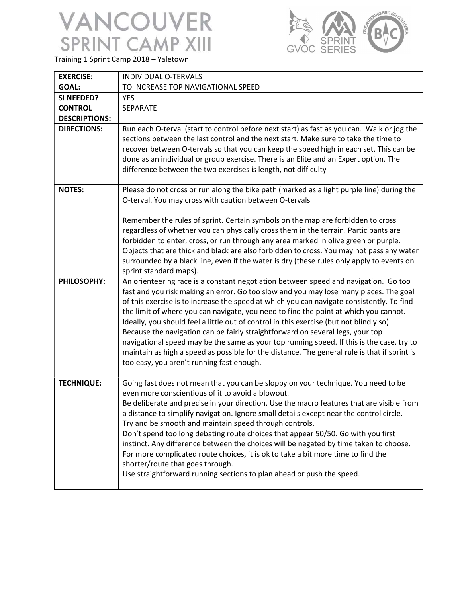

Training 1 Sprint Camp 2018 – Yaletown

| <b>EXERCISE:</b>     | INDIVIDUAL O-TERVALS                                                                                                                                                                                                                                                                                                                                                                                                                                                                                                                                                                                                                                                                                                                                                                     |
|----------------------|------------------------------------------------------------------------------------------------------------------------------------------------------------------------------------------------------------------------------------------------------------------------------------------------------------------------------------------------------------------------------------------------------------------------------------------------------------------------------------------------------------------------------------------------------------------------------------------------------------------------------------------------------------------------------------------------------------------------------------------------------------------------------------------|
| <b>GOAL:</b>         | TO INCREASE TOP NAVIGATIONAL SPEED                                                                                                                                                                                                                                                                                                                                                                                                                                                                                                                                                                                                                                                                                                                                                       |
| SI NEEDED?           | <b>YES</b>                                                                                                                                                                                                                                                                                                                                                                                                                                                                                                                                                                                                                                                                                                                                                                               |
| <b>CONTROL</b>       | SEPARATE                                                                                                                                                                                                                                                                                                                                                                                                                                                                                                                                                                                                                                                                                                                                                                                 |
| <b>DESCRIPTIONS:</b> |                                                                                                                                                                                                                                                                                                                                                                                                                                                                                                                                                                                                                                                                                                                                                                                          |
| <b>DIRECTIONS:</b>   | Run each O-terval (start to control before next start) as fast as you can. Walk or jog the<br>sections between the last control and the next start. Make sure to take the time to<br>recover between O-tervals so that you can keep the speed high in each set. This can be<br>done as an individual or group exercise. There is an Elite and an Expert option. The<br>difference between the two exercises is length, not difficulty                                                                                                                                                                                                                                                                                                                                                    |
| <b>NOTES:</b>        | Please do not cross or run along the bike path (marked as a light purple line) during the<br>O-terval. You may cross with caution between O-tervals                                                                                                                                                                                                                                                                                                                                                                                                                                                                                                                                                                                                                                      |
|                      | Remember the rules of sprint. Certain symbols on the map are forbidden to cross<br>regardless of whether you can physically cross them in the terrain. Participants are<br>forbidden to enter, cross, or run through any area marked in olive green or purple.<br>Objects that are thick and black are also forbidden to cross. You may not pass any water<br>surrounded by a black line, even if the water is dry (these rules only apply to events on<br>sprint standard maps).                                                                                                                                                                                                                                                                                                        |
| PHILOSOPHY:          | An orienteering race is a constant negotiation between speed and navigation. Go too<br>fast and you risk making an error. Go too slow and you may lose many places. The goal<br>of this exercise is to increase the speed at which you can navigate consistently. To find<br>the limit of where you can navigate, you need to find the point at which you cannot.<br>Ideally, you should feel a little out of control in this exercise (but not blindly so).<br>Because the navigation can be fairly straightforward on several legs, your top<br>navigational speed may be the same as your top running speed. If this is the case, try to<br>maintain as high a speed as possible for the distance. The general rule is that if sprint is<br>too easy, you aren't running fast enough. |
| <b>TECHNIQUE:</b>    | Going fast does not mean that you can be sloppy on your technique. You need to be<br>even more conscientious of it to avoid a blowout.<br>Be deliberate and precise in your direction. Use the macro features that are visible from<br>a distance to simplify navigation. Ignore small details except near the control circle.<br>Try and be smooth and maintain speed through controls.<br>Don't spend too long debating route choices that appear 50/50. Go with you first<br>instinct. Any difference between the choices will be negated by time taken to choose.<br>For more complicated route choices, it is ok to take a bit more time to find the<br>shorter/route that goes through.<br>Use straightforward running sections to plan ahead or push the speed.                   |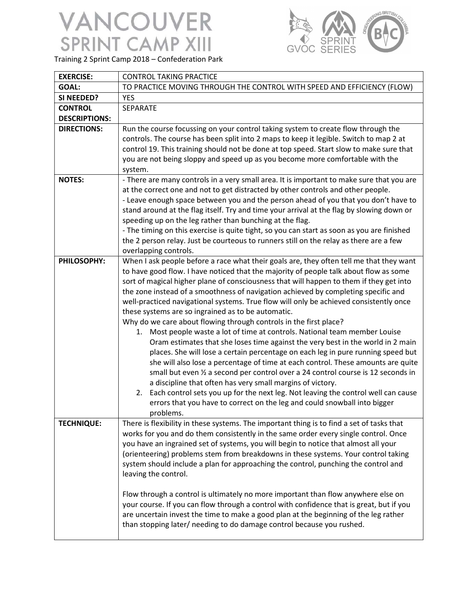

Training 2 Sprint Camp 2018 – Confederation Park

| <b>EXERCISE:</b>     | <b>CONTROL TAKING PRACTICE</b>                                                                                                                                                                                                                                                                                                                                                                                                                                                                                                                                                                                                                                                                                                                                                                                                                                                                                                                                                                                                                                                                                                                                                                                                                                        |
|----------------------|-----------------------------------------------------------------------------------------------------------------------------------------------------------------------------------------------------------------------------------------------------------------------------------------------------------------------------------------------------------------------------------------------------------------------------------------------------------------------------------------------------------------------------------------------------------------------------------------------------------------------------------------------------------------------------------------------------------------------------------------------------------------------------------------------------------------------------------------------------------------------------------------------------------------------------------------------------------------------------------------------------------------------------------------------------------------------------------------------------------------------------------------------------------------------------------------------------------------------------------------------------------------------|
| <b>GOAL:</b>         | TO PRACTICE MOVING THROUGH THE CONTROL WITH SPEED AND EFFICIENCY (FLOW)                                                                                                                                                                                                                                                                                                                                                                                                                                                                                                                                                                                                                                                                                                                                                                                                                                                                                                                                                                                                                                                                                                                                                                                               |
| SI NEEDED?           | <b>YES</b>                                                                                                                                                                                                                                                                                                                                                                                                                                                                                                                                                                                                                                                                                                                                                                                                                                                                                                                                                                                                                                                                                                                                                                                                                                                            |
| <b>CONTROL</b>       | SEPARATE                                                                                                                                                                                                                                                                                                                                                                                                                                                                                                                                                                                                                                                                                                                                                                                                                                                                                                                                                                                                                                                                                                                                                                                                                                                              |
| <b>DESCRIPTIONS:</b> |                                                                                                                                                                                                                                                                                                                                                                                                                                                                                                                                                                                                                                                                                                                                                                                                                                                                                                                                                                                                                                                                                                                                                                                                                                                                       |
| <b>DIRECTIONS:</b>   | Run the course focussing on your control taking system to create flow through the<br>controls. The course has been split into 2 maps to keep it legible. Switch to map 2 at<br>control 19. This training should not be done at top speed. Start slow to make sure that<br>you are not being sloppy and speed up as you become more comfortable with the<br>system.                                                                                                                                                                                                                                                                                                                                                                                                                                                                                                                                                                                                                                                                                                                                                                                                                                                                                                    |
| <b>NOTES:</b>        | - There are many controls in a very small area. It is important to make sure that you are<br>at the correct one and not to get distracted by other controls and other people.<br>- Leave enough space between you and the person ahead of you that you don't have to<br>stand around at the flag itself. Try and time your arrival at the flag by slowing down or<br>speeding up on the leg rather than bunching at the flag.<br>- The timing on this exercise is quite tight, so you can start as soon as you are finished<br>the 2 person relay. Just be courteous to runners still on the relay as there are a few<br>overlapping controls.                                                                                                                                                                                                                                                                                                                                                                                                                                                                                                                                                                                                                        |
| PHILOSOPHY:          | When I ask people before a race what their goals are, they often tell me that they want<br>to have good flow. I have noticed that the majority of people talk about flow as some<br>sort of magical higher plane of consciousness that will happen to them if they get into<br>the zone instead of a smoothness of navigation achieved by completing specific and<br>well-practiced navigational systems. True flow will only be achieved consistently once<br>these systems are so ingrained as to be automatic.<br>Why do we care about flowing through controls in the first place?<br>1. Most people waste a lot of time at controls. National team member Louise<br>Oram estimates that she loses time against the very best in the world in 2 main<br>places. She will lose a certain percentage on each leg in pure running speed but<br>she will also lose a percentage of time at each control. These amounts are quite<br>small but even 1/2 a second per control over a 24 control course is 12 seconds in<br>a discipline that often has very small margins of victory.<br>2. Each control sets you up for the next leg. Not leaving the control well can cause<br>errors that you have to correct on the leg and could snowball into bigger<br>problems. |
| <b>TECHNIQUE:</b>    | There is flexibility in these systems. The important thing is to find a set of tasks that<br>works for you and do them consistently in the same order every single control. Once<br>you have an ingrained set of systems, you will begin to notice that almost all your<br>(orienteering) problems stem from breakdowns in these systems. Your control taking<br>system should include a plan for approaching the control, punching the control and<br>leaving the control.<br>Flow through a control is ultimately no more important than flow anywhere else on<br>your course. If you can flow through a control with confidence that is great, but if you<br>are uncertain invest the time to make a good plan at the beginning of the leg rather<br>than stopping later/ needing to do damage control because you rushed.                                                                                                                                                                                                                                                                                                                                                                                                                                         |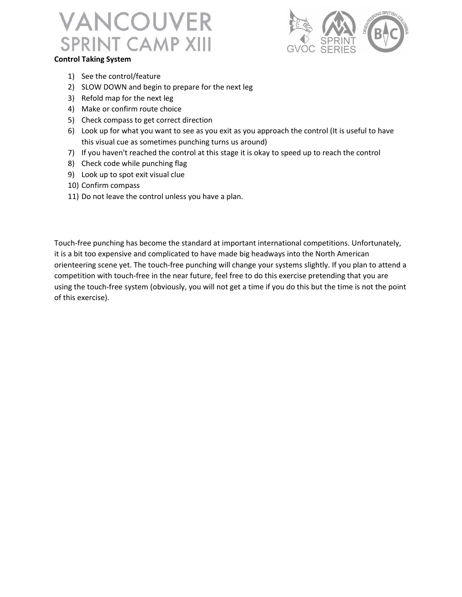

#### Control Taking System

- 1) See the control/feature
- 2) SLOW DOWN and begin to prepare for the next leg
- 3) Refold map for the next leg
- 4) Make or confirm route choice
- 5) Check compass to get correct direction
- 6) Look up for what you want to see as you exit as you approach the control (It is useful to have this visual cue as sometimes punching turns us around)
- 7) If you haven't reached the control at this stage it is okay to speed up to reach the control
- 8) Check code while punching flag
- 9) Look up to spot exit visual clue
- 10) Confirm compass
- 11) Do not leave the control unless you have a plan.

Touch-free punching has become the standard at important international competitions. Unfortunately, it is a bit too expensive and complicated to have made big headways into the North American orienteering scene yet. The touch-free punching will change your systems slightly. If you plan to attend a competition with touch-free in the near future, feel free to do this exercise pretending that you are using the touch-free system (obviously, you will not get a time if you do this but the time is not the point of this exercise).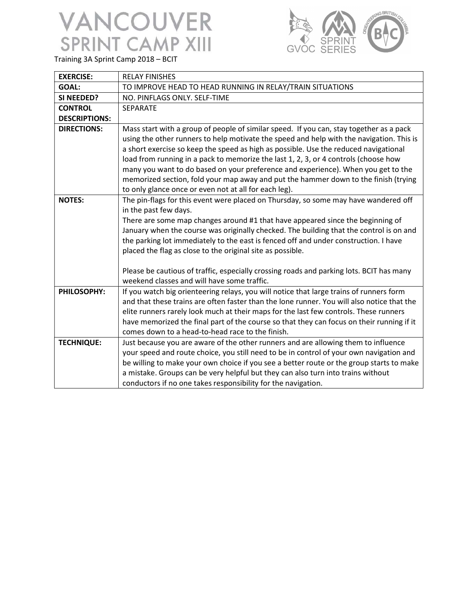

Training 3A Sprint Camp 2018 – BCIT

| <b>EXERCISE:</b>     | <b>RELAY FINISHES</b>                                                                      |
|----------------------|--------------------------------------------------------------------------------------------|
| <b>GOAL:</b>         | TO IMPROVE HEAD TO HEAD RUNNING IN RELAY/TRAIN SITUATIONS                                  |
| SI NEEDED?           | NO. PINFLAGS ONLY. SELF-TIME                                                               |
| <b>CONTROL</b>       | <b>SEPARATE</b>                                                                            |
| <b>DESCRIPTIONS:</b> |                                                                                            |
| <b>DIRECTIONS:</b>   | Mass start with a group of people of similar speed. If you can, stay together as a pack    |
|                      | using the other runners to help motivate the speed and help with the navigation. This is   |
|                      | a short exercise so keep the speed as high as possible. Use the reduced navigational       |
|                      | load from running in a pack to memorize the last 1, 2, 3, or 4 controls (choose how        |
|                      | many you want to do based on your preference and experience). When you get to the          |
|                      | memorized section, fold your map away and put the hammer down to the finish (trying        |
|                      | to only glance once or even not at all for each leg).                                      |
| <b>NOTES:</b>        | The pin-flags for this event were placed on Thursday, so some may have wandered off        |
|                      | in the past few days.                                                                      |
|                      | There are some map changes around #1 that have appeared since the beginning of             |
|                      | January when the course was originally checked. The building that the control is on and    |
|                      | the parking lot immediately to the east is fenced off and under construction. I have       |
|                      | placed the flag as close to the original site as possible.                                 |
|                      | Please be cautious of traffic, especially crossing roads and parking lots. BCIT has many   |
|                      | weekend classes and will have some traffic.                                                |
| <b>PHILOSOPHY:</b>   | If you watch big orienteering relays, you will notice that large trains of runners form    |
|                      | and that these trains are often faster than the lone runner. You will also notice that the |
|                      | elite runners rarely look much at their maps for the last few controls. These runners      |
|                      | have memorized the final part of the course so that they can focus on their running if it  |
|                      | comes down to a head-to-head race to the finish.                                           |
| <b>TECHNIQUE:</b>    | Just because you are aware of the other runners and are allowing them to influence         |
|                      | your speed and route choice, you still need to be in control of your own navigation and    |
|                      | be willing to make your own choice if you see a better route or the group starts to make   |
|                      | a mistake. Groups can be very helpful but they can also turn into trains without           |
|                      | conductors if no one takes responsibility for the navigation.                              |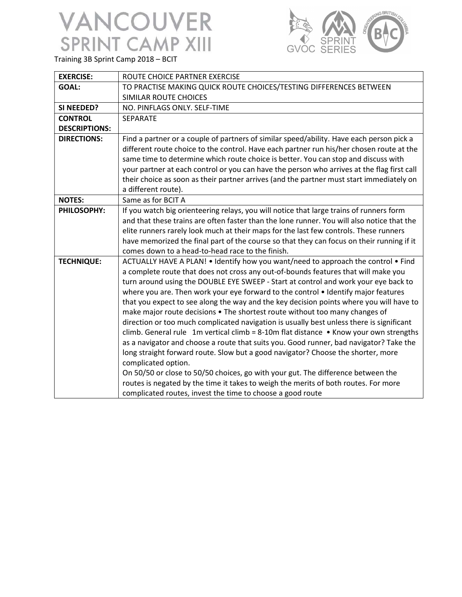

Training 3B Sprint Camp 2018 – BCIT

| <b>EXERCISE:</b>     | ROUTE CHOICE PARTNER EXERCISE                                                              |
|----------------------|--------------------------------------------------------------------------------------------|
| <b>GOAL:</b>         | TO PRACTISE MAKING QUICK ROUTE CHOICES/TESTING DIFFERENCES BETWEEN                         |
|                      | SIMILAR ROUTE CHOICES                                                                      |
| SI NEEDED?           | NO. PINFLAGS ONLY. SELF-TIME                                                               |
| <b>CONTROL</b>       | SEPARATE                                                                                   |
| <b>DESCRIPTIONS:</b> |                                                                                            |
| <b>DIRECTIONS:</b>   | Find a partner or a couple of partners of similar speed/ability. Have each person pick a   |
|                      | different route choice to the control. Have each partner run his/her chosen route at the   |
|                      | same time to determine which route choice is better. You can stop and discuss with         |
|                      | your partner at each control or you can have the person who arrives at the flag first call |
|                      | their choice as soon as their partner arrives (and the partner must start immediately on   |
|                      | a different route).                                                                        |
| <b>NOTES:</b>        | Same as for BCIT A                                                                         |
| PHILOSOPHY:          | If you watch big orienteering relays, you will notice that large trains of runners form    |
|                      | and that these trains are often faster than the lone runner. You will also notice that the |
|                      | elite runners rarely look much at their maps for the last few controls. These runners      |
|                      | have memorized the final part of the course so that they can focus on their running if it  |
|                      | comes down to a head-to-head race to the finish.                                           |
| <b>TECHNIQUE:</b>    | ACTUALLY HAVE A PLAN! • Identify how you want/need to approach the control • Find          |
|                      | a complete route that does not cross any out-of-bounds features that will make you         |
|                      | turn around using the DOUBLE EYE SWEEP - Start at control and work your eye back to        |
|                      | where you are. Then work your eye forward to the control • Identify major features         |
|                      | that you expect to see along the way and the key decision points where you will have to    |
|                      | make major route decisions . The shortest route without too many changes of                |
|                      | direction or too much complicated navigation is usually best unless there is significant   |
|                      | climb. General rule 1m vertical climb = 8-10m flat distance • Know your own strengths      |
|                      | as a navigator and choose a route that suits you. Good runner, bad navigator? Take the     |
|                      | long straight forward route. Slow but a good navigator? Choose the shorter, more           |
|                      | complicated option.                                                                        |
|                      | On 50/50 or close to 50/50 choices, go with your gut. The difference between the           |
|                      | routes is negated by the time it takes to weigh the merits of both routes. For more        |
|                      | complicated routes, invest the time to choose a good route                                 |